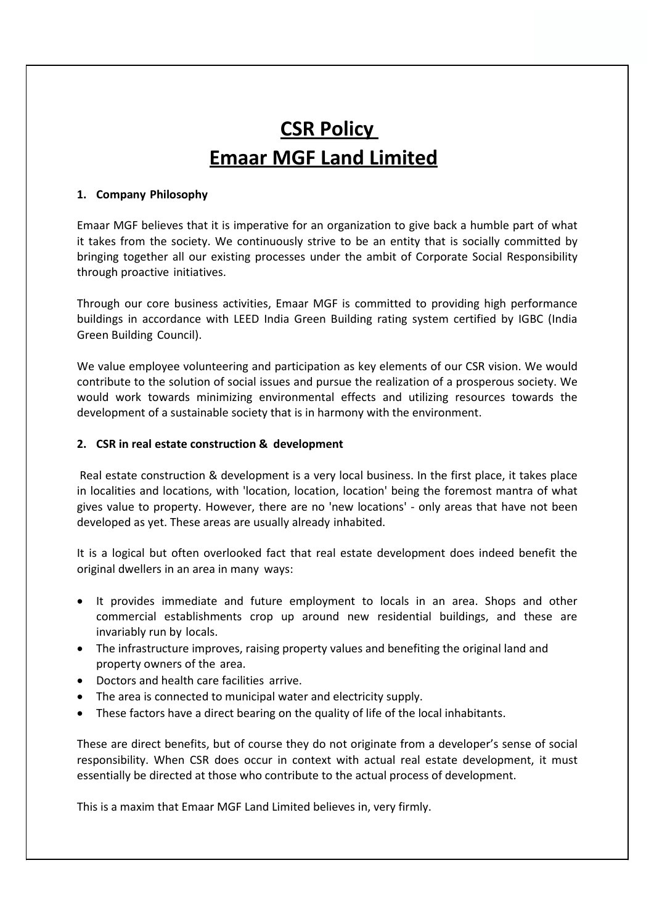# **CSR Policy Emaar MGF Land Limited**

### **1. Company Philosophy**

Emaar MGF believes that it is imperative for an organization to give back a humble part of what it takes from the society. We continuously strive to be an entity that is socially committed by bringing together all our existing processes under the ambit of Corporate Social Responsibility through proactive initiatives.

Through our core business activities, Emaar MGF is committed to providing high performance buildings in accordance with LEED India Green Building rating system certified by IGBC (India Green Building Council).

We value employee volunteering and participation as key elements of our CSR vision. We would contribute to the solution of social issues and pursue the realization of a prosperous society. We would work towards minimizing environmental effects and utilizing resources towards the development of a sustainable society that is in harmony with the environment.

## **2. CSR in real estate construction & development**

Real estate construction & development is a very local business. In the first place, it takes place in localities and locations, with 'location, location, location' being the foremost mantra of what gives value to property. However, there are no 'new locations' - only areas that have not been developed as yet. These areas are usually already inhabited.

It is a logical but often overlooked fact that real estate development does indeed benefit the original dwellers in an area in many ways:

- It provides immediate and future employment to locals in an area. Shops and other commercial establishments crop up around new residential buildings, and these are invariably run by locals.
- The infrastructure improves, raising property values and benefiting the original land and property owners of the area.
- Doctors and health care facilities arrive.
- The area is connected to municipal water and electricity supply.
- These factors have a direct bearing on the quality of life of the local inhabitants.

These are direct benefits, but of course they do not originate from a developer's sense of social responsibility. When CSR does occur in context with actual real estate development, it must essentially be directed at those who contribute to the actual process of development.

This is a maxim that Emaar MGF Land Limited believes in, very firmly.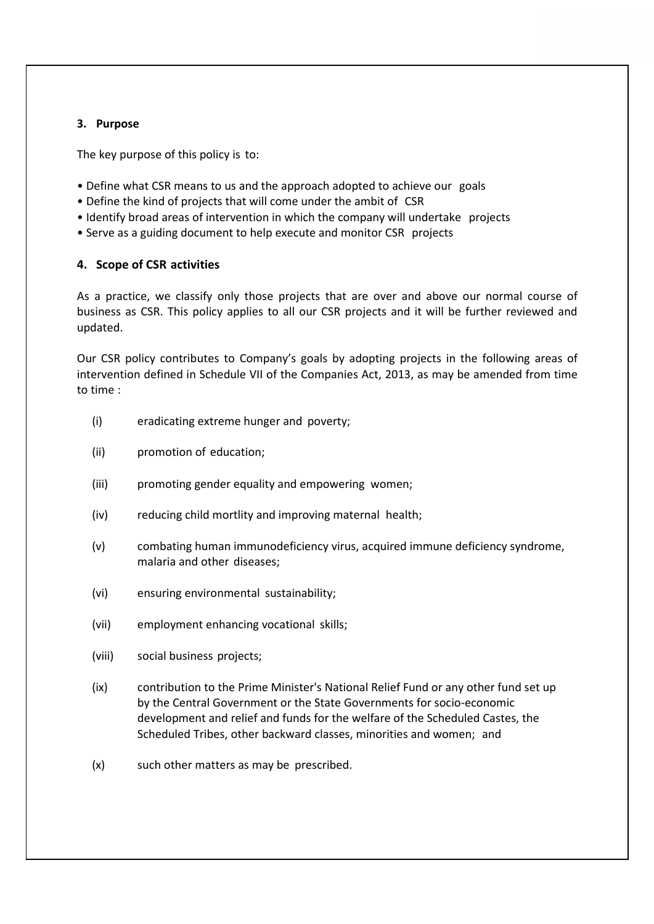## **3. Purpose**

The key purpose of this policy is to:

- Define what CSR means to us and the approach adopted to achieve our goals
- Define the kind of projects that will come under the ambit of CSR
- Identify broad areas of intervention in which the company will undertake projects
- Serve as a guiding document to help execute and monitor CSR projects

#### **4. Scope of CSR activities**

As a practice, we classify only those projects that are over and above our normal course of business as CSR. This policy applies to all our CSR projects and it will be further reviewed and updated.

Our CSR policy contributes to Company's goals by adopting projects in the following areas of intervention defined in Schedule VII of the Companies Act, 2013, as may be amended from time to time :

- (i) eradicating extreme hunger and poverty;
- (ii) promotion of education;
- (iii) promoting gender equality and empowering women;
- (iv) reducing child mortlity and improving maternal health;
- (v) combating human immunodeficiency virus, acquired immune deficiency syndrome, malaria and other diseases;
- (vi) ensuring environmental sustainability;
- (vii) employment enhancing vocational skills;
- (viii) social business projects;
- (ix) contribution to the Prime Minister's National Relief Fund or any other fund set up by the Central Government or the State Governments for socio-economic development and relief and funds for the welfare of the Scheduled Castes, the Scheduled Tribes, other backward classes, minorities and women; and
- (x) such other matters as may be prescribed.